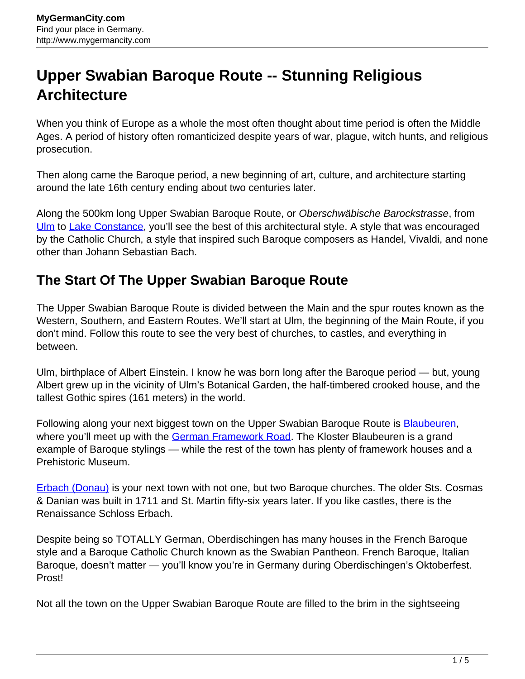## **Upper Swabian Baroque Route -- Stunning Religious Architecture**

When you think of Europe as a whole the most often thought about time period is often the Middle Ages. A period of history often romanticized despite years of war, plague, witch hunts, and religious prosecution.

Then along came the Baroque period, a new beginning of art, culture, and architecture starting around the late 16th century ending about two centuries later.

Along the 500km long Upper Swabian Baroque Route, or Oberschwäbische Barockstrasse, from [Ulm](http://www.mygermancity.com/ulm) to [Lake Constance](http://www.mygermancity.com/lake-constance), you'll see the best of this architectural style. A style that was encouraged by the Catholic Church, a style that inspired such Baroque composers as Handel, Vivaldi, and none other than Johann Sebastian Bach.

## **The Start Of The Upper Swabian Baroque Route**

The Upper Swabian Baroque Route is divided between the Main and the spur routes known as the Western, Southern, and Eastern Routes. We'll start at Ulm, the beginning of the Main Route, if you don't mind. Follow this route to see the very best of churches, to castles, and everything in between.

Ulm, birthplace of Albert Einstein. I know he was born long after the Baroque period — but, young Albert grew up in the vicinity of Ulm's Botanical Garden, the half-timbered crooked house, and the tallest Gothic spires (161 meters) in the world.

Following along your next biggest town on the Upper Swabian Baroque Route is **[Blaubeuren](http://www.mygermancity.com/blaubeuren)**, where you'll meet up with the [German Framework Road](http://www.mygermancity.com/german-framework-road). The Kloster Blaubeuren is a grand example of Baroque stylings — while the rest of the town has plenty of framework houses and a Prehistoric Museum.

[Erbach \(Donau\)](http://www.mygermancity.com/erbach-donau) is your next town with not one, but two Baroque churches. The older Sts. Cosmas & Danian was built in 1711 and St. Martin fifty-six years later. If you like castles, there is the Renaissance Schloss Erbach.

Despite being so TOTALLY German, Oberdischingen has many houses in the French Baroque style and a Baroque Catholic Church known as the Swabian Pantheon. French Baroque, Italian Baroque, doesn't matter — you'll know you're in Germany during Oberdischingen's Oktoberfest. Prost!

Not all the town on the Upper Swabian Baroque Route are filled to the brim in the sightseeing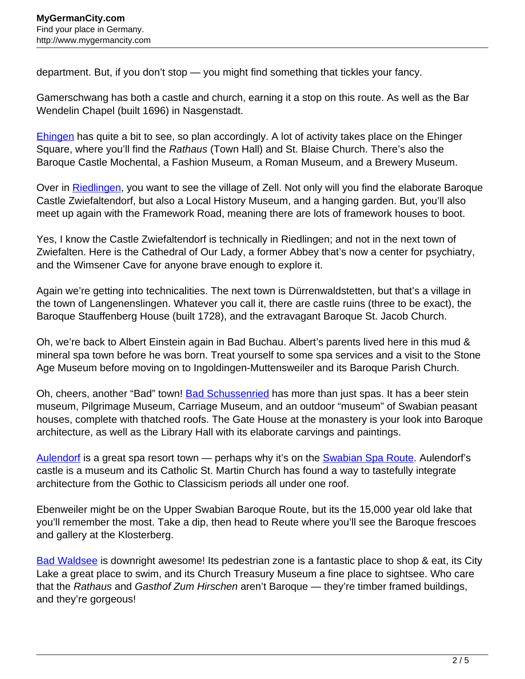department. But, if you don't stop — you might find something that tickles your fancy.

Gamerschwang has both a castle and church, earning it a stop on this route. As well as the Bar Wendelin Chapel (built 1696) in Nasgenstadt.

**Ehingen** has quite a bit to see, so plan accordingly. A lot of activity takes place on the Ehinger Square, where you'll find the Rathaus (Town Hall) and St. Blaise Church. There's also the Baroque Castle Mochental, a Fashion Museum, a Roman Museum, and a Brewery Museum.

Over in [Riedlingen](http://www.mygermancity.com/riedlingen), you want to see the village of Zell. Not only will you find the elaborate Baroque Castle Zwiefaltendorf, but also a Local History Museum, and a hanging garden. But, you'll also meet up again with the Framework Road, meaning there are lots of framework houses to boot.

Yes, I know the Castle Zwiefaltendorf is technically in Riedlingen; and not in the next town of Zwiefalten. Here is the Cathedral of Our Lady, a former Abbey that's now a center for psychiatry, and the Wimsener Cave for anyone brave enough to explore it.

Again we're getting into technicalities. The next town is Dürrenwaldstetten, but that's a village in the town of Langenenslingen. Whatever you call it, there are castle ruins (three to be exact), the Baroque Stauffenberg House (built 1728), and the extravagant Baroque St. Jacob Church.

Oh, we're back to Albert Einstein again in Bad Buchau. Albert's parents lived here in this mud & mineral spa town before he was born. Treat yourself to some spa services and a visit to the Stone Age Museum before moving on to Ingoldingen-Muttensweiler and its Baroque Parish Church.

Oh, cheers, another "Bad" town! [Bad Schussenried](http://www.mygermancity.com/bad-schussenried) has more than just spas. It has a beer stein museum, Pilgrimage Museum, Carriage Museum, and an outdoor "museum" of Swabian peasant houses, complete with thatched roofs. The Gate House at the monastery is your look into Baroque architecture, as well as the Library Hall with its elaborate carvings and paintings.

[Aulendorf](http://www.mygermancity.com/aulendorf) is a great spa resort town — perhaps why it's on the [Swabian Spa Route.](http://www.mygermancity.com/swabian-spa-route) Aulendorf's castle is a museum and its Catholic St. Martin Church has found a way to tastefully integrate architecture from the Gothic to Classicism periods all under one roof.

Ebenweiler might be on the Upper Swabian Baroque Route, but its the 15,000 year old lake that you'll remember the most. Take a dip, then head to Reute where you'll see the Baroque frescoes and gallery at the Klosterberg.

[Bad Waldsee](http://www.mygermancity.com/bad-waldsee) is downright awesome! Its pedestrian zone is a fantastic place to shop & eat, its City Lake a great place to swim, and its Church Treasury Museum a fine place to sightsee. Who care that the Rathaus and Gasthof Zum Hirschen aren't Baroque — they're timber framed buildings, and they're gorgeous!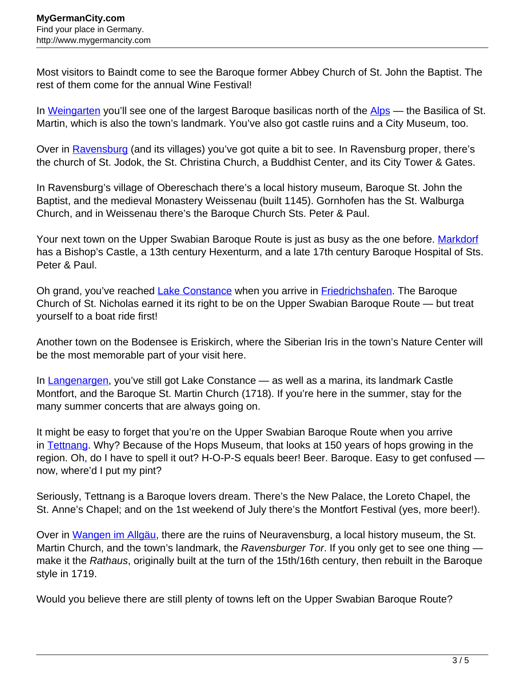Most visitors to Baindt come to see the Baroque former Abbey Church of St. John the Baptist. The rest of them come for the annual Wine Festival!

In [Weingarten](http://www.mygermancity.com/weingarten) you'll see one of the largest Baroque basilicas north of the [Alps](http://www.mygermancity.com/german-alps) — the Basilica of St. Martin, which is also the town's landmark. You've also got castle ruins and a City Museum, too.

Over in [Ravensburg](http://www.mygermancity.com/ravensburg) (and its villages) you've got quite a bit to see. In Ravensburg proper, there's the church of St. Jodok, the St. Christina Church, a Buddhist Center, and its City Tower & Gates.

In Ravensburg's village of Obereschach there's a local history museum, Baroque St. John the Baptist, and the medieval Monastery Weissenau (built 1145). Gornhofen has the St. Walburga Church, and in Weissenau there's the Baroque Church Sts. Peter & Paul.

Your next town on the Upper Swabian Baroque Route is just as busy as the one before. [Markdorf](http://www.mygermancity.com/markdorf) has a Bishop's Castle, a 13th century Hexenturm, and a late 17th century Baroque Hospital of Sts. Peter & Paul.

Oh grand, you've reached [Lake Constance](http://www.mygermancity.com/lake-constance) when you arrive in [Friedrichshafen](http://www.mygermancity.com/friedrichshafen). The Baroque Church of St. Nicholas earned it its right to be on the Upper Swabian Baroque Route — but treat yourself to a boat ride first!

Another town on the Bodensee is Eriskirch, where the Siberian Iris in the town's Nature Center will be the most memorable part of your visit here.

In [Langenargen,](http://www.mygermancity.com/langenargen) you've still got Lake Constance — as well as a marina, its landmark Castle Montfort, and the Baroque St. Martin Church (1718). If you're here in the summer, stay for the many summer concerts that are always going on.

It might be easy to forget that you're on the Upper Swabian Baroque Route when you arrive in [Tettnang.](http://www.mygermancity.com/tettnang) Why? Because of the Hops Museum, that looks at 150 years of hops growing in the region. Oh, do I have to spell it out? H-O-P-S equals beer! Beer. Baroque. Easy to get confused now, where'd I put my pint?

Seriously, Tettnang is a Baroque lovers dream. There's the New Palace, the Loreto Chapel, the St. Anne's Chapel; and on the 1st weekend of July there's the Montfort Festival (yes, more beer!).

Over in [Wangen im Allgäu,](http://www.mygermancity.com/wangen-im-allgaeu) there are the ruins of Neuravensburg, a local history museum, the St. Martin Church, and the town's landmark, the Ravensburger Tor. If you only get to see one thing make it the Rathaus, originally built at the turn of the 15th/16th century, then rebuilt in the Baroque style in 1719.

Would you believe there are still plenty of towns left on the Upper Swabian Baroque Route?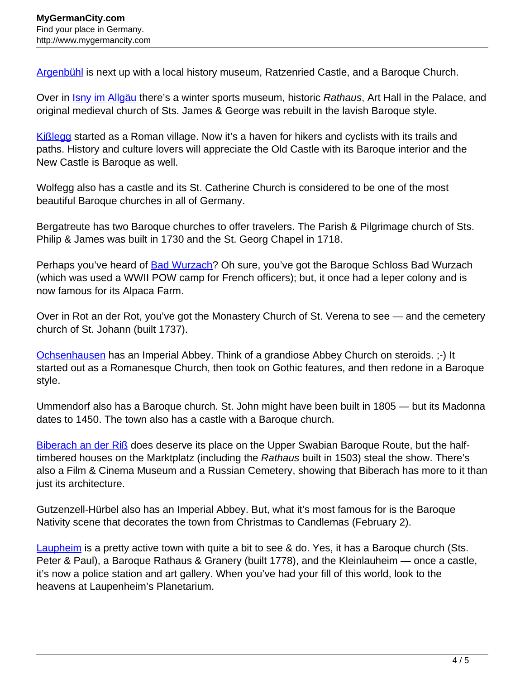[Argenbühl](http://www.mygermancity.com/argenbuehl) is next up with a local history museum, Ratzenried Castle, and a Baroque Church.

Over in **[Isny im Allgäu](http://www.mygermancity.com/isny)** there's a winter sports museum, historic Rathaus, Art Hall in the Palace, and original medieval church of Sts. James & George was rebuilt in the lavish Baroque style.

[Kißlegg](http://www.mygermancity.com/kisslegg) started as a Roman village. Now it's a haven for hikers and cyclists with its trails and paths. History and culture lovers will appreciate the Old Castle with its Baroque interior and the New Castle is Baroque as well.

Wolfegg also has a castle and its St. Catherine Church is considered to be one of the most beautiful Baroque churches in all of Germany.

Bergatreute has two Baroque churches to offer travelers. The Parish & Pilgrimage church of Sts. Philip & James was built in 1730 and the St. Georg Chapel in 1718.

Perhaps you've heard of [Bad Wurzach?](http://www.mygermancity.com/bad-wurzach) Oh sure, you've got the Baroque Schloss Bad Wurzach (which was used a WWII POW camp for French officers); but, it once had a leper colony and is now famous for its Alpaca Farm.

Over in Rot an der Rot, you've got the Monastery Church of St. Verena to see — and the cemetery church of St. Johann (built 1737).

[Ochsenhausen](http://www.mygermancity.com/ochsenhausen) has an Imperial Abbey. Think of a grandiose Abbey Church on steroids. ;-) It started out as a Romanesque Church, then took on Gothic features, and then redone in a Baroque style.

Ummendorf also has a Baroque church. St. John might have been built in 1805 — but its Madonna dates to 1450. The town also has a castle with a Baroque church.

[Biberach an der Riß](http://www.mygermancity.com/biberach-an-der-riss) does deserve its place on the Upper Swabian Baroque Route, but the halftimbered houses on the Marktplatz (including the Rathaus built in 1503) steal the show. There's also a Film & Cinema Museum and a Russian Cemetery, showing that Biberach has more to it than just its architecture.

Gutzenzell-Hürbel also has an Imperial Abbey. But, what it's most famous for is the Baroque Nativity scene that decorates the town from Christmas to Candlemas (February 2).

[Laupheim](http://www.mygermancity.com/laupheim) is a pretty active town with quite a bit to see & do. Yes, it has a Baroque church (Sts. Peter & Paul), a Baroque Rathaus & Granery (built 1778), and the Kleinlauheim — once a castle, it's now a police station and art gallery. When you've had your fill of this world, look to the heavens at Laupenheim's Planetarium.